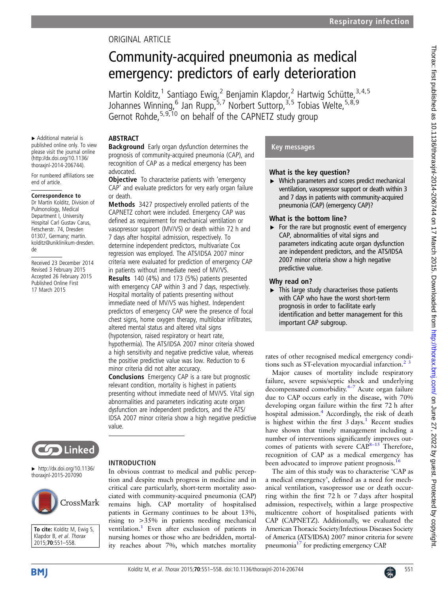## ORIGINAL ARTICLE

# Community-acquired pneumonia as medical emergency: predictors of early deterioration

Martin Kolditz,<sup>1</sup> Santiago Ewig,<sup>2</sup> Benjamin Klapdor,<sup>2</sup> Hartwig Schütte,<sup>3,4,5</sup> Johannes Winning, <sup>6</sup> Jan Rupp, <sup>5,7</sup> Norbert Suttorp, <sup>3,5</sup> Tobias Welte, <sup>5,8,9</sup> Gernot Rohde,<sup>5,9,10</sup> on behalf of the CAPNETZ study group

## ABSTRACT

▸ Additional material is published online only. To view please visit the journal online [\(http://dx.doi.org/10.1136/](http://dx.doi.org/10.1136/thoraxjnl-2014-206744) [thoraxjnl-2014-206744\)](http://dx.doi.org/10.1136/thoraxjnl-2014-206744). For numbered affiliations see

end of article.

de

Correspondence to Dr Martin Kolditz, Division of Pulmonology, Medical Department I, University Hospital Carl Gustav Carus, Fetscherstr. 74, Dresden 01307, Germany; martin. kolditz@uniklinikum-dresden.

Received 23 December 2014 Revised 3 February 2015 Accepted 26 February 2015 Published Online First 17 March 2015

**Background** Early organ dysfunction determines the prognosis of community-acquired pneumonia (CAP), and recognition of CAP as a medical emergency has been advocated.

**Objective** To characterise patients with 'emergency CAP' and evaluate predictors for very early organ failure or death.

Methods 3427 prospectively enrolled patients of the CAPNETZ cohort were included. Emergency CAP was defined as requirement for mechanical ventilation or vasopressor support (MV/VS) or death within 72 h and 7 days after hospital admission, respectively. To determine independent predictors, multivariate Cox regression was employed. The ATS/IDSA 2007 minor criteria were evaluated for prediction of emergency CAP in patients without immediate need of MV/VS.

Results 140 (4%) and 173 (5%) patients presented with emergency CAP within 3 and 7 days, respectively. Hospital mortality of patients presenting without immediate need of MV/VS was highest. Independent predictors of emergency CAP were the presence of focal chest signs, home oxygen therapy, multilobar infiltrates, altered mental status and altered vital signs (hypotension, raised respiratory or heart rate, hypothermia). The ATS/IDSA 2007 minor criteria showed a high sensitivity and negative predictive value, whereas

the positive predictive value was low. Reduction to 6 minor criteria did not alter accuracy.

Conclusions Emergency CAP is a rare but prognostic relevant condition, mortality is highest in patients presenting without immediate need of MV/VS. Vital sign abnormalities and parameters indicating acute organ dysfunction are independent predictors, and the ATS/ IDSA 2007 minor criteria show a high negative predictive value.



 $\blacktriangleright$  [http://dx.doi.org/10.1136/](http://dx.doi.org/10.1136/thoraxjnl-2015-207090) [thoraxjnl-2015-207090](http://dx.doi.org/10.1136/thoraxjnl-2015-207090)



To cite: Kolditz M, Ewig S, Klapdor B, et al. Thorax 2015;70:551–558.

#### INTRODUCTION

In obvious contrast to medical and public perception and despite much progress in medicine and in critical care particularly, short-term mortality associated with community-acquired pneumonia (CAP) remains high. CAP mortality of hospitalised patients in Germany continues to be about 13%, rising to >35% in patients needing mechanical ventilation.<sup>[1](#page-6-0)</sup> Even after exclusion of patients in nursing homes or those who are bedridden, mortality reaches about 7%, which matches mortality

## Key messages

## What is the key question?

 $\triangleright$  Which parameters and scores predict mechanical ventilation, vasopressor support or death within 3 and 7 days in patients with community-acquired pneumonia (CAP) (emergency CAP)?

## What is the bottom line?

 $\triangleright$  For the rare but prognostic event of emergency CAP, abnormalities of vital signs and parameters indicating acute organ dysfunction are independent predictors, and the ATS/IDSA 2007 minor criteria show a high negative predictive value.

## Why read on?

 $\blacktriangleright$  This large study characterises those patients with CAP who have the worst short-term prognosis in order to facilitate early identification and better management for this important CAP subgroup.

rates of other recognised medical emergency conditions such as ST-elevation myocardial infarction. $2<sup>3</sup>$ 

Major causes of mortality include respiratory failure, severe sepsis/septic shock and underlying decompensated comorbidity. $4-7$  $4-7$  Acute organ failure due to CAP occurs early in the disease, with 70% developing organ failure within the first 72 h after hospital admission.<sup>4</sup> Accordingly, the risk of death is highest within the first  $3 \text{ days.}^1$  $3 \text{ days.}^1$  Recent studies have shown that timely management including a number of interventions significantly improves outcomes of patients with severe  $CAP<sub>8-15</sub>$  $CAP<sub>8-15</sub>$  $CAP<sub>8-15</sub>$ <sup>8–15</sup> Therefore, recognition of CAP as a medical emergency has been advocated to improve patient prognosis.<sup>[16](#page-7-0)</sup>

The aim of this study was to characterise 'CAP as a medical emergency', defined as a need for mechanical ventilation, vasopressor use or death occurring within the first 72 h or 7 days after hospital admission, respectively, within a large prospective multicentre cohort of hospitalised patients with CAP (CAPNETZ). Additionally, we evaluated the American Thoracic Society/Infectious Diseases Society of America (ATS/IDSA) 2007 minor criteria for severe pneumonia<sup>[17](#page-7-0)</sup> for predicting emergency CAP.

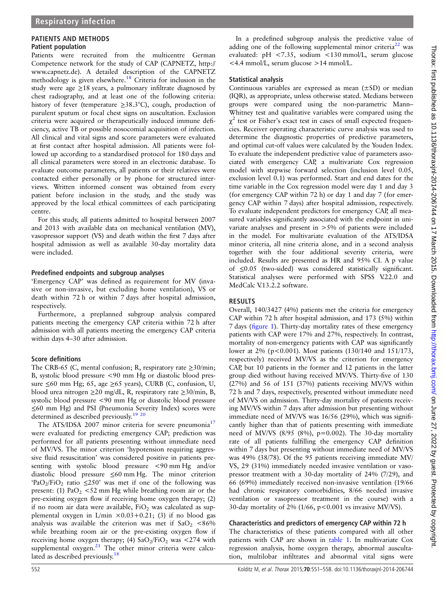## PATIENTS AND METHODS

#### Patient population

Patients were recruited from the multicentre German Competence network for the study of CAP (CAPNETZ, [http://](http://www.capnetz.de) [www.capnetz.de\)](http://www.capnetz.de). A detailed description of the CAPNETZ methodology is given elsewhere.<sup>[18](#page-7-0)</sup> Criteria for inclusion in the study were age ≥18 years, a pulmonary infiltrate diagnosed by chest radiography, and at least one of the following criteria: history of fever (temperature ≥38.3°C), cough, production of purulent sputum or focal chest signs on auscultation. Exclusion criteria were acquired or therapeutically induced immune deficiency, active TB or possible nosocomial acquisition of infection. All clinical and vital signs and score parameters were evaluated at first contact after hospital admission. All patients were followed up according to a standardised protocol for 180 days and all clinical parameters were stored in an electronic database. To evaluate outcome parameters, all patients or their relatives were contacted either personally or by phone for structured interviews. Written informed consent was obtained from every patient before inclusion in the study, and the study was approved by the local ethical committees of each participating centre.

For this study, all patients admitted to hospital between 2007 and 2013 with available data on mechanical ventilation (MV), vasopressor support (VS) and death within the first 7 days after hospital admission as well as available 30-day mortality data were included.

#### Predefined endpoints and subgroup analyses

'Emergency CAP' was defined as requirement for MV (invasive or non-invasive, but excluding home ventilation), VS or death within 72 h or within 7 days after hospital admission, respectively.

Furthermore, a preplanned subgroup analysis compared patients meeting the emergency CAP criteria within 72 h after admission with all patients meeting the emergency CAP criteria within days 4–30 after admission.

#### Score definitions

The CRB-65 (C, mental confusion; R, respiratory rate  $\geq$ 30/min; B, systolic blood pressure <90 mm Hg or diastolic blood pressure  $\leq 60$  mm Hg; 65, age  $\geq 65$  years), CURB (C, confusion, U, blood urea nitrogen ≥20 mg/dL, R, respiratory rate ≥30/min, B, systolic blood pressure <90 mm Hg or diastolic blood pressure ≤60 mm Hg) and PSI (Pneumonia Severity Index) scores were determined as described previously.<sup>19</sup><sup>20</sup>

The ATS/IDSA 2007 minor criteria for severe pneumonia<sup>17</sup> were evaluated for predicting emergency CAP; prediction was performed for all patients presenting without immediate need of MV/VS. The minor criterion 'hypotension requiring aggressive fluid resuscitation' was considered positive in patients presenting with systolic blood pressure <90 mm Hg and/or diastolic blood pressure ≤60 mm Hg. The minor criterion 'PaO<sub>2</sub>/FiO<sub>2</sub> ratio  $\leq 250$ ' was met if one of the following was present: (1)  $PaO<sub>2</sub> < 52$  mm Hg while breathing room air or the pre-existing oxygen flow if receiving home oxygen therapy; (2) if no room air data were available,  $FiO<sub>2</sub>$  was calculated as supplemental oxygen in L/min  $\times 0.03 + 0.21$ ; (3) if no blood gas analysis was available the criterion was met if  $aO<sub>2</sub> < 86%$ while breathing room air or the pre-existing oxygen flow if receiving home oxygen therapy; (4)  $CaO<sub>2</sub>/FiO<sub>2</sub>$  was <274 with supplemental  $oxygen.<sup>21</sup>$  The other minor criteria were calcu-lated as described previously.<sup>[18](#page-7-0)</sup>

In a predefined subgroup analysis the predictive value of adding one of the following supplemental minor criteria<sup>[22](#page-7-0)</sup> was evaluated: pH <7.35, sodium <130 mmol/L, serum glucose  $\langle 4.4 \text{ mmol/L}$ , serum glucose  $>14 \text{ mmol/L}$ .

#### Statistical analysis

Continuous variables are expressed as mean (±SD) or median (IQR), as appropriate, unless otherwise stated. Medians between groups were compared using the non-parametric Mann– Whitney test and qualitative variables were compared using the  $\chi^2$  test or Fisher's exact test in cases of small expected frequencies. Receiver operating characteristic curve analysis was used to determine the diagnostic properties of predictive parameters, and optimal cut-off values were calculated by the Youden Index. To evaluate the independent predictive value of parameters associated with emergency CAP, a multivariate Cox regression model with stepwise forward selection (inclusion level 0.05, exclusion level 0.1) was performed. Start and end dates for the time variable in the Cox regression model were day 1 and day 3 (for emergency CAP within 72 h) or day 1 and day 7 (for emergency CAP within 7 days) after hospital admission, respectively. To evaluate independent predictors for emergency CAP, all measured variables significantly associated with the endpoint in univariate analyses and present in >5% of patients were included in the model. For multivariate evaluation of the ATS/IDSA minor criteria, all nine criteria alone, and in a second analysis together with the four additional severity criteria, were included. Results are presented as HR and 95% CI. A p value of ≤0.05 (two-sided) was considered statistically significant. Statistical analyses were performed with SPSS V.22.0 and MedCalc V.13.2.2 software.

#### RESULTS

Overall, 140/3427 (4%) patients met the criteria for emergency CAP within 72 h after hospital admission, and 173 (5%) within 7 days (fi[gure 1](#page-2-0)). Thirty-day mortality rates of these emergency patients with CAP were 17% and 27%, respectively. In contrast, mortality of non-emergency patients with CAP was significantly lower at 2% (p<0.001). Most patients (130/140 and 151/173, respectively) received MV/VS as the criterion for emergency CAP, but 10 patients in the former and 12 patients in the latter group died without having received MV/VS. Thirty-five of 130 (27%) and 56 of 151 (37%) patients receiving MV/VS within 72 h and 7 days, respectively, presented without immediate need of MV/VS on admission. Thirty-day mortality of patients receiving MV/VS within 7 days after admission but presenting without immediate need of MV/VS was 16/56 (29%), which was significantly higher than that of patients presenting with immediate need of MV/VS (8/95 (8%),  $p=0.002$ ). The 30-day mortality rate of all patients fulfilling the emergency CAP definition within 7 days but presenting without immediate need of MV/VS was 49% (38/78). Of the 95 patients receiving immediate MV/ VS, 29 (31%) immediately needed invasive ventilation or vasopressor treatment with a 30-day mortality of 24% (7/29), and 66 (69%) immediately received non-invasive ventilation (19/66 had chronic respiratory comorbidities, 8/66 needed invasive ventilation or vasopressor treatment in the course) with a 30-day mortality of 2% (1/66, p<0.001 vs invasive MV/VS).

#### Characteristics and predictors of emergency CAP within 72 h

The characteristics of these patients compared with all other patients with CAP are shown in [table 1](#page-3-0). In multivariate Cox regression analysis, home oxygen therapy, abnormal auscultation, multilobar infiltrates and abnormal vital signs were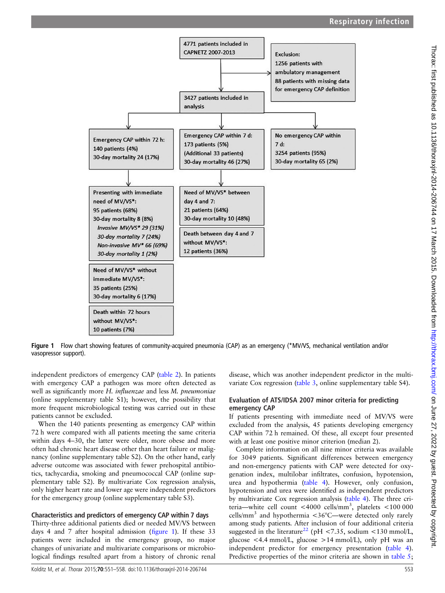<span id="page-2-0"></span>

Figure 1 Flow chart showing features of community-acquired pneumonia (CAP) as an emergency (\*MV/VS, mechanical ventilation and/or vasopressor support).

independent predictors of emergency CAP ([table 2](#page-4-0)). In patients with emergency CAP a pathogen was more often detected as well as significantly more H. influenzae and less M. pneumoniae (online supplementary table S1); however, the possibility that more frequent microbiological testing was carried out in these patients cannot be excluded.

When the 140 patients presenting as emergency CAP within 72 h were compared with all patients meeting the same criteria within days 4–30, the latter were older, more obese and more often had chronic heart disease other than heart failure or malignancy (online supplementary table S2). On the other hand, early adverse outcome was associated with fewer prehospital antibiotics, tachycardia, smoking and pneumococcal CAP (online supplementary table S2). By multivariate Cox regression analysis, only higher heart rate and lower age were independent predictors for the emergency group (online supplementary table S3).

## Characteristics and predictors of emergency CAP within 7 days

Thirty-three additional patients died or needed MV/VS between days 4 and 7 after hospital admission (figure 1). If these 33 patients were included in the emergency group, no major changes of univariate and multivariate comparisons or microbiological findings resulted apart from a history of chronic renal disease, which was another independent predictor in the multivariate Cox regression [\(table 3,](#page-4-0) online supplementary table S4).

#### Evaluation of ATS/IDSA 2007 minor criteria for predicting emergency CAP

If patients presenting with immediate need of MV/VS were excluded from the analysis, 45 patients developing emergency CAP within 72 h remained. Of these, all except four presented with at least one positive minor criterion (median 2).

Complete information on all nine minor criteria was available for 3049 patients. Significant differences between emergency and non-emergency patients with CAP were detected for oxygenation index, multilobar infiltrates, confusion, hypotension, urea and hypothermia ([table 4](#page-5-0)). However, only confusion, hypotension and urea were identified as independent predictors by multivariate Cox regression analysis ([table 4\)](#page-5-0). The three criteria—white cell count <4000 cells/mm<sup>3</sup> , platelets <100 000 cells/mm<sup>3</sup> and hypothermia  $<36^{\circ}$ C—were detected only rarely among study patients. After inclusion of four additional criteria suggested in the literature<sup>[22](#page-7-0)</sup> (pH <7.35, sodium <130 mmol/L, glucose  $\langle 4.4 \text{ mmol/L}, \text{ glucose} \rangle$  = 14 mmol/L), only pH was an independent predictor for emergency presentation [\(table 4\)](#page-5-0). Predictive properties of the minor criteria are shown in [table 5](#page-5-0);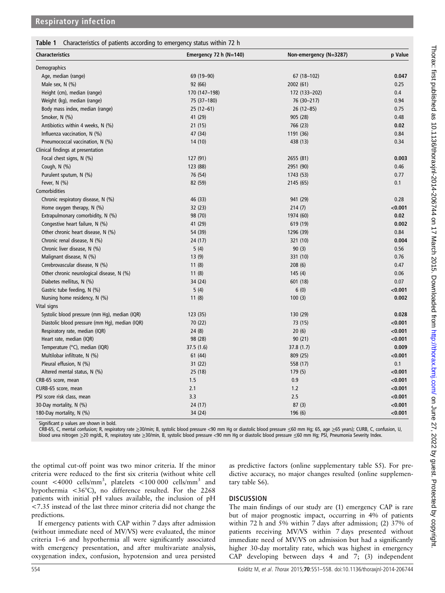<span id="page-3-0"></span>

|  |  |  | Table 1 Characteristics of patients according to emergency status within 72 h |  |
|--|--|--|-------------------------------------------------------------------------------|--|
|  |  |  |                                                                               |  |

| <b>Characteristics</b>                         | Emergency 72 h $(N=140)$ | Non-emergency (N=3287) | p Value |  |
|------------------------------------------------|--------------------------|------------------------|---------|--|
| Demographics                                   |                          |                        |         |  |
| Age, median (range)                            | 69 (19 - 90)             | 67 (18-102)            | 0.047   |  |
| Male sex, N (%)                                | 92 (66)                  | 2002 (61)              | 0.25    |  |
| Height (cm), median (range)                    | 170 (147-198)            | 172 (133-202)          | 0.4     |  |
| Weight (kg), median (range)                    | 75 (37-180)              | 76 (30-217)            | 0.94    |  |
| Body mass index, median (range)                | $25(12-61)$              | $26(12-85)$            | 0.75    |  |
| Smoker, N (%)                                  | 41 (29)                  | 905 (28)               | 0.48    |  |
| Antibiotics within 4 weeks, N (%)              | 21(15)                   | 766 (23)               | 0.02    |  |
| Influenza vaccination, N (%)                   | 47 (34)                  | 1191 (36)              | 0.84    |  |
| Pneumococcal vaccination, N (%)                | 14(10)                   | 438 (13)               | 0.34    |  |
| Clinical findings at presentation              |                          |                        |         |  |
| Focal chest signs, N (%)                       | 127 (91)                 | 2655 (81)              | 0.003   |  |
| Cough, N (%)                                   | 123 (88)                 | 2951 (90)              | 0.46    |  |
| Purulent sputum, N (%)                         | 76 (54)                  | 1743 (53)              | 0.77    |  |
| Fever, $N$ $(\%)$                              | 82 (59)                  | 2145 (65)              | 0.1     |  |
| Comorbidities                                  |                          |                        |         |  |
| Chronic respiratory disease, N (%)             | 46 (33)                  | 941 (29)               | 0.28    |  |
| Home oxygen therapy, $N$ (%)                   | 32(23)                   | 214(7)                 | < 0.001 |  |
| Extrapulmonary comorbidity, N (%)              | 98 (70)                  | 1974 (60)              | 0.02    |  |
| Congestive heart failure, N (%)                | 41 (29)                  | 619 (19)               | 0.002   |  |
| Other chronic heart disease, N (%)             | 54 (39)                  | 1296 (39)              | 0.84    |  |
| Chronic renal disease, N (%)                   | 24 (17)                  | 321 (10)               | 0.004   |  |
| Chronic liver disease, N (%)                   | 5(4)                     | 90(3)                  | 0.56    |  |
| Malignant disease, N (%)                       | 13(9)                    | 331 (10)               | 0.76    |  |
| Cerebrovascular disease, N (%)                 | 11(8)                    | 208(6)                 | 0.47    |  |
| Other chronic neurological disease, N (%)      | 11(8)                    | 145(4)                 | 0.06    |  |
| Diabetes mellitus, N (%)                       | 34 (24)                  | 601 (18)               | 0.07    |  |
| Gastric tube feeding, N (%)                    | 5(4)                     | 6(0)                   | < 0.001 |  |
| Nursing home residency, N (%)                  | 11(8)                    | 100(3)                 | 0.002   |  |
| Vital signs                                    |                          |                        |         |  |
| Systolic blood pressure (mm Hg), median (IQR)  | 123(35)                  | 130 (29)               | 0.028   |  |
| Diastolic blood pressure (mm Hg), median (IQR) | 70(22)                   | 73 (15)                | < 0.001 |  |
| Respiratory rate, median (IQR)                 | 24(8)                    | 20(6)                  | < 0.001 |  |
| Heart rate, median (IQR)                       | 98 (28)                  | 90(21)                 | < 0.001 |  |
| Temperature (°C), median (IQR)                 | 37.5 (1.6)               | 37.8 (1.7)             | 0.009   |  |
| Multilobar infiltrate, N (%)                   | 61 (44)                  | 809 (25)               | < 0.001 |  |
| Pleural effusion, N (%)                        | 31(22)                   | 558 (17)               | 0.1     |  |
| Altered mental status, N (%)                   | 25 (18)                  | 179(5)                 | < 0.001 |  |
| CRB-65 score, mean                             | 1.5                      | 0.9                    | < 0.001 |  |
| CURB-65 score, mean                            | 2.1                      | 1.2                    | < 0.001 |  |
| PSI score risk class, mean                     | 3.3                      | 2.5                    | < 0.001 |  |
| 30-Day mortality, N (%)                        | 24 (17)                  | 87(3)                  | < 0.001 |  |
| 180-Day mortality, N (%)                       | 34 (24)                  | 196 (6)                | < 0.001 |  |

Significant p values are shown in bold.

CRB-65, C, mental confusion; R, respiratory rate ≥30/min; B, systolic blood pressure <90 mm Hg or diastolic blood pressure ≤60 mm Hg; 65, age ≥65 years); CURB, C, confusion, U, blood urea nitrogen ≥20 mg/dL, R, respiratory rate ≥30/min, B, systolic blood pressure <90 mm Hg or diastolic blood pressure ≤60 mm Hg; PSI, Pneumonia Severity Index.

the optimal cut-off point was two minor criteria. If the minor criteria were reduced to the first six criteria (without white cell count <4000 cells/mm<sup>3</sup>, platelets <100 000 cells/mm<sup>3</sup> and hypothermia <36°C), no difference resulted. For the 2268 patients with initial pH values available, the inclusion of pH <7.35 instead of the last three minor criteria did not change the predictions.

If emergency patients with CAP within 7 days after admission (without immediate need of MV/VS) were evaluated, the minor criteria 1–6 and hypothermia all were significantly associated with emergency presentation, and after multivariate analysis, oxygenation index, confusion, hypotension and urea persisted

as predictive factors (online supplementary table S5). For predictive accuracy, no major changes resulted (online supplementary table S6).

#### **DISCUSSION**

The main findings of our study are (1) emergency CAP is rare but of major prognostic impact, occurring in 4% of patients within 72 h and 5% within 7 days after admission; (2) 37% of patients receiving MV/VS within 7 days presented without immediate need of MV/VS on admission but had a significantly higher 30-day mortality rate, which was highest in emergency CAP developing between days 4 and 7; (3) independent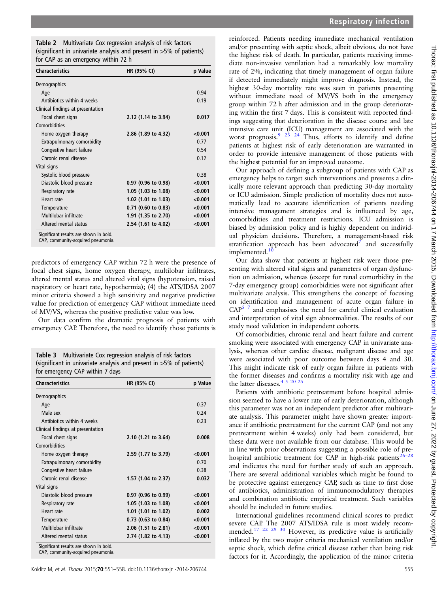<span id="page-4-0"></span>

| Table 2 Multivariate Cox regression analysis of risk factors           |
|------------------------------------------------------------------------|
| (significant in univariate analysis and present in $>5\%$ of patients) |
| for CAP as an emergency within 72 h                                    |

| <b>Characteristics</b>            | HR (95% CI)         | p Value |
|-----------------------------------|---------------------|---------|
| Demographics                      |                     |         |
| Age                               |                     | 0.94    |
| Antibiotics within 4 weeks        |                     | 0.19    |
| Clinical findings at presentation |                     |         |
| Focal chest signs                 | 2.12 (1.14 to 3.94) | 0.017   |
| Comorbidities                     |                     |         |
| Home oxygen therapy               | 2.86 (1.89 to 4.32) | < 0.001 |
| Extrapulmonary comorbidity        |                     | 0.77    |
| Congestive heart failure          |                     | 0.54    |
| Chronic renal disease             |                     | 0.12    |
| Vital signs                       |                     |         |
| Systolic blood pressure           |                     | 0.38    |
| Diastolic blood pressure          | 0.97 (0.96 to 0.98) | < 0.001 |
| Respiratory rate                  | 1.05 (1.03 to 1.08) | < 0.001 |
| Heart rate                        | 1.02 (1.01 to 1.03) | < 0.001 |
| Temperature                       | 0.71 (0.60 to 0.83) | < 0.001 |
| Multilobar infiltrate             | 1.91 (1.35 to 2.70) | < 0.001 |
| Altered mental status             | 2.54 (1.61 to 4.02) | < 0.001 |

CAP, community-acquired pneumonia.

predictors of emergency CAP within 72 h were the presence of focal chest signs, home oxygen therapy, multilobar infiltrates, altered mental status and altered vital signs (hypotension, raised respiratory or heart rate, hypothermia); (4) the ATS/IDSA 2007 minor criteria showed a high sensitivity and negative predictive value for prediction of emergency CAP without immediate need of MV/VS, whereas the positive predictive value was low.

Our data confirm the dramatic prognosis of patients with emergency CAP. Therefore, the need to identify those patients is

Table 3 Multivariate Cox regression analysis of risk factors (significant in univariate analysis and present in >5% of patients) for emergency CAP within 7 days

| <b>Characteristics</b>                                                       | HR (95% CI)           | p Value |
|------------------------------------------------------------------------------|-----------------------|---------|
| Demographics                                                                 |                       |         |
| Age                                                                          |                       | 0.37    |
| Male sex                                                                     |                       | 0.24    |
| Antibiotics within 4 weeks                                                   |                       | 0.23    |
| Clinical findings at presentation                                            |                       |         |
| Focal chest signs                                                            | 2.10 (1.21 to 3.64)   | 0.008   |
| Comorbidities                                                                |                       |         |
| Home oxygen therapy                                                          | 2.59 (1.77 to 3.79)   | < 0.001 |
| Extrapulmonary comorbidity                                                   |                       | 0.70    |
| Congestive heart failure                                                     |                       | 0.38    |
| Chronic renal disease                                                        | 1.57 (1.04 to 2.37)   | 0.032   |
| Vital signs                                                                  |                       |         |
| Diastolic blood pressure                                                     | $0.97$ (0.96 to 0.99) | < 0.001 |
| Respiratory rate                                                             | 1.05 (1.03 to 1.08)   | < 0.001 |
| Heart rate                                                                   | 1.01 (1.01 to 1.02)   | 0.002   |
| Temperature                                                                  | 0.73 (0.63 to 0.84)   | < 0.001 |
| Multilobar infiltrate                                                        | 2.06 (1.51 to 2.81)   | < 0.001 |
| Altered mental status                                                        | 2.74 (1.82 to 4.13)   | < 0.001 |
| Significant results are shown in bold.<br>CAP, community-acquired pneumonia. |                       |         |

reinforced. Patients needing immediate mechanical ventilation and/or presenting with septic shock, albeit obvious, do not have the highest risk of death. In particular, patients receiving immediate non-invasive ventilation had a remarkably low mortality rate of 2%, indicating that timely management of organ failure if detected immediately might improve diagnosis. Instead, the highest 30-day mortality rate was seen in patients presenting without immediate need of MV/VS both in the emergency group within 72 h after admission and in the group deteriorating within the first 7 days. This is consistent with reported findings suggesting that deterioration in the disease course and late intensive care unit (ICU) management are associated with the worst prognosis.<sup>[9](#page-6-0) [23 24](#page-7-0)</sup> Thus, efforts to identify and define patients at highest risk of early deterioration are warranted in order to provide intensive management of those patients with the highest potential for an improved outcome.

Our approach of defining a subgroup of patients with CAP as emergency helps to target such interventions and presents a clinically more relevant approach than predicting 30-day mortality or ICU admission. Simple prediction of mortality does not automatically lead to accurate identification of patients needing intensive management strategies and is influenced by age, comorbidities and treatment restrictions. ICU admission is biased by admission policy and is highly dependent on individual physician decisions. Therefore, a management-based risk stratification approach has been advocated<sup>7</sup> and successfully implemented.

Our data show that patients at highest risk were those presenting with altered vital signs and parameters of organ dysfunction on admission, whereas (except for renal comorbidity in the 7-day emergency group) comorbidities were not significant after multivariate analysis. This strengthens the concept of focusing on identification and management of acute organ failure in  $CAP<sup>5</sup>$  7 and emphasises the need for careful clinical evaluation and interpretation of vital sign abnormalities. The results of our study need validation in independent cohorts.

Of comorbidities, chronic renal and heart failure and current smoking were associated with emergency CAP in univariate analysis, whereas other cardiac disease, malignant disease and age were associated with poor outcome between days 4 and 30. This might indicate risk of early organ failure in patients with the former diseases and confirms a mortality risk with age and the latter diseases.<sup>[4 5](#page-6-0) 20</sup> <sup>25</sup>

Patients with antibiotic pretreatment before hospital admission seemed to have a lower rate of early deterioration, although this parameter was not an independent predictor after multivariate analysis. This parameter might have shown greater importance if antibiotic pretreatment for the current CAP (and not any pretreatment within 4 weeks) only had been considered, but these data were not available from our database. This would be in line with prior observations suggesting a possible role of pre-hospital antibiotic treatment for CAP in high-risk patients<sup>[26](#page-7-0)-</sup> and indicates the need for further study of such an approach. There are several additional variables which might be found to be protective against emergency CAP, such as time to first dose of antibiotics, administration of immunomodulatory therapies and combination antibiotic empirical treatment. Such variables should be included in future studies.

International guidelines recommend clinical scores to predict severe CAP. The 2007 ATS/IDSA rule is most widely recom-mended.<sup>[17 22 29 30](#page-7-0)</sup> However, its predictive value is artificially inflated by the two major criteria mechanical ventilation and/or septic shock, which define critical disease rather than being risk factors for it. Accordingly, the application of the minor criteria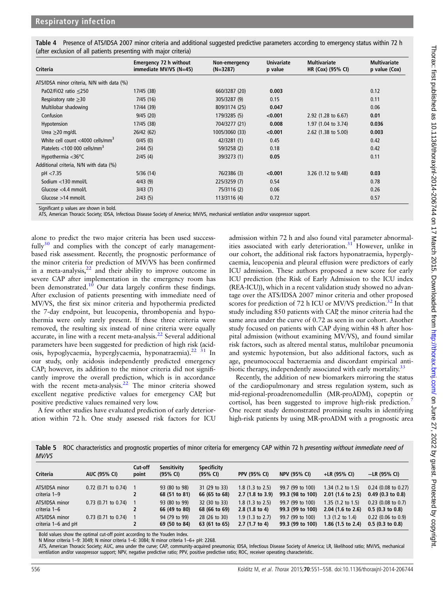<span id="page-5-0"></span>

| Table 4 Presence of ATS/IDSA 2007 minor criteria and additional suggested predictive parameters according to emergency status within 72 h |  |
|-------------------------------------------------------------------------------------------------------------------------------------------|--|
| (after exclusion of all patients presenting with major criteria)                                                                          |  |

| Criteria                                     | <b>Emergency 72 h without</b><br>immediate MV/VS (N=45) | Non-emergency<br>$(N=3287)$ | <b>Univariate</b><br>p value | <b>Multivariate</b><br>HR (Cox) (95% CI) | <b>Multivariate</b><br>p value (Cox) |
|----------------------------------------------|---------------------------------------------------------|-----------------------------|------------------------------|------------------------------------------|--------------------------------------|
| ATS/IDSA minor criteria, N/N with data (%)   |                                                         |                             |                              |                                          |                                      |
| PaO2/FiO2 ratio $\leq$ 250                   | 17/45 (38)                                              | 660/3287 (20)               | 0.003                        |                                          | 0.12                                 |
| Respiratory rate $\geq 30$                   | 7/45(16)                                                | 305/3287 (9)                | 0.15                         |                                          | 0.11                                 |
| Multilobar shadowing                         | 17/44 (39)                                              | 809/3174 (25)               | 0.047                        |                                          | 0.06                                 |
| Confusion                                    | 9/45(20)                                                | 179/3285 (5)                | < 0.001                      | 2.92 $(1.28 \text{ to } 6.67)$           | 0.01                                 |
| Hypotension                                  | 17/45 (38)                                              | 704/3277 (21)               | 0.008                        | 1.97 (1.04 to 3.74)                      | 0.036                                |
| Urea $\geq$ 20 mg/dL                         | 26/42 (62)                                              | 1005/3060 (33)              | < 0.001                      | $2.62$ (1.38 to 5.00)                    | 0.003                                |
| White cell count <4000 cells/mm <sup>3</sup> | 0/45(0)                                                 | 42/3281 (1)                 | 0.45                         |                                          | 0.42                                 |
| Platelets $<$ 100 000 cells/mm <sup>3</sup>  | 2/44(5)                                                 | 59/3258 (2)                 | 0.18                         |                                          | 0.42                                 |
| Hypothermia $<$ 36 $\degree$ C               | 2/45(4)                                                 | 39/3273 (1)                 | 0.05                         |                                          | 0.11                                 |
| Additional criteria, N/N with data (%)       |                                                         |                             |                              |                                          |                                      |
| pH < 7.35                                    | 5/36(14)                                                | 76/2386 (3)                 | < 0.001                      | 3.26 (1.12 to 9.48)                      | 0.03                                 |
| Sodium <130 mmol/L                           | 4/43(9)                                                 | 225/3259 (7)                | 0.54                         |                                          | 0.78                                 |
| Glucose $<$ 4.4 mmol/L                       | 3/43(7)                                                 | 75/3116 (2)                 | 0.06                         |                                          | 0.26                                 |
| Glucose $>14$ mmol/L                         | 2/43(5)                                                 | 113/3116 (4)                | 0.72                         |                                          | 0.57                                 |

Significant p values are shown in bold.

ATS, American Thoracic Society; IDSA, Infectious Disease Society of America; MV/VS, mechanical ventilation and/or vasopressor support.

alone to predict the two major criteria has been used successfully $30$  and complies with the concept of early managementbased risk assessment. Recently, the prognostic performance of the minor criteria for prediction of MV/VS has been confirmed in a meta-analysis, $2^2$  and their ability to improve outcome in severe CAP after implementation in the emergency room has been demonstrated.<sup>10</sup> Our data largely confirm these findings. After exclusion of patients presenting with immediate need of MV/VS, the first six minor criteria and hypothermia predicted the 7-day endpoint, but leucopenia, thrombopenia and hypothermia were only rarely present. If these three criteria were removed, the resulting six instead of nine criteria were equally accurate, in line with a recent meta-analysis.<sup>[22](#page-7-0)</sup> Several additional parameters have been suggested for prediction of high risk (acidosis, hypoglycaemia, hyperglycaemia, hyponatraemia).<sup>22</sup><sup>31</sup> In our study, only acidosis independently predicted emergency CAP; however, its addition to the minor criteria did not significantly improve the overall prediction, which is in accordance with the recent meta-analysis. $22$  The minor criteria showed excellent negative predictive values for emergency CAP, but positive predictive values remained very low.

A few other studies have evaluated prediction of early deterioration within 72 h. One study assessed risk factors for ICU

admission within 72 h and also found vital parameter abnormalities associated with early deterioration. $31$  However, unlike in our cohort, the additional risk factors hyponatraemia, hyperglycaemia, leucopenia and pleural effusion were predictors of early ICU admission. These authors proposed a new score for early ICU prediction (the Risk of Early Admission to the ICU index (REA-ICU)), which in a recent validation study showed no advantage over the ATS/IDSA 2007 minor criteria and other proposed scores for prediction of 72 h ICU or MV/VS prediction.<sup>[32](#page-7-0)</sup> In that study including 850 patients with CAP, the minor criteria had the same area under the curve of 0.72 as seen in our cohort. Another study focused on patients with CAP dying within 48 h after hospital admission (without examining MV/VS), and found similar risk factors, such as altered mental status, multilobar pneumonia and systemic hypotension, but also additional factors, such as age, pneumococcal bacteraemia and discordant empirical anti-biotic therapy, independently associated with early mortality.<sup>[33](#page-7-0)</sup>

Recently, the addition of new biomarkers mirroring the status of the cardiopulmonary and stress regulation system, such as mid-regional-proadrenomedullin (MR-proADM), copeptin or cortisol, has been suggested to improve high-risk prediction.<sup>[7](#page-6-0)</sup> One recent study demonstrated promising results in identifying high-risk patients by using MR-proADM with a prognostic area

Table 5 ROC characteristics and prognostic properties of minor criteria for emergency CAP within 72 h presenting without immediate need of MV/VS

| Criteria                              | <b>AUC (95% CI)</b>   | Cut-off<br>point | Sensitivity<br>$(95\% \; \text{Cl})$ | <b>Specificity</b><br>$(95% \; \text{Cl})$ | <b>PPV (95% CI)</b>                                       | <b>NPV (95% CI)</b>                  | +LR (95% CI)                                                | $-LR$ (95% CI)                                |
|---------------------------------------|-----------------------|------------------|--------------------------------------|--------------------------------------------|-----------------------------------------------------------|--------------------------------------|-------------------------------------------------------------|-----------------------------------------------|
| ATS/IDSA minor<br>criteria 1-9        | $0.72$ (0.71 to 0.74) |                  | 93 (80 to 98)<br>68 (51 to 81)       | 31 (29 to 33)<br>66 (65 to 68)             | 1.8 $(1.3 \text{ to } 2.5)$<br>$2.7(1.8 \text{ to } 3.9)$ | 99.7 (99 to 100)<br>99.3 (98 to 100) | 1.34 $(1.2 \text{ to } 1.5)$<br>$2.01$ (1.6 to 2.5)         | $0.24$ (0.08 to 0.27)<br>$0.49$ (0.3 to 0.8)  |
| ATS/IDSA minor<br>criteria 1-6        | $0.73$ (0.71 to 0.74) |                  | 93 (80 to 99)<br>66 (49 to 80)       | 32 (30 to 33)<br>68 (66 to 69)             | 1.8 $(1.3 \text{ to } 2.5)$<br>$2.8(1.8 \text{ to } 4)$   | 99.7 (99 to 100)<br>99.3 (99 to 100) | 1.35 (1.2 to 1.5)<br>$2.04$ (1.6 to 2.6)                    | $0.23$ (0.08 to 0.7)<br>$0.5(0.3)$ to $0.8$   |
| ATS/IDSA minor<br>criteria 1-6 and pH | $0.73$ (0.71 to 0.74) |                  | 94 (79 to 99)<br>69 (50 to 84)       | 28 (26 to 30)<br>63 (61 to 65)             | 1.9 $(1.3 \text{ to } 2.7)$<br>$2.7(1.7)$ to 4)           | 99.7 (99 to 100)<br>99.3 (99 to 100) | 1.3 $(1.2 \text{ to } 1.4)$<br>1.86 $(1.5 \text{ to } 2.4)$ | $0.22$ (0.06 to 0.9)<br>$0.5(0.3)$ to $0.8$ ) |

Bold values show the optimal cut-off point according to the Youden Index. N Minor criteria 1–9: 3049; N minor criteria 1–6: 3084; N minor criteria 1–6+ pH: 2268.

ATS, American Thoracic Society; AUC, area under the curve; CAP, community-acquired pneumonia; IDSA, Infectious Disease Society of America; LR, likelihood ratio; MV/VS, mechanical ventilation and/or vasopressor support; NPV, negative predictive ratio; PPV, positive predictive ratio; ROC, receiver operating characteristic.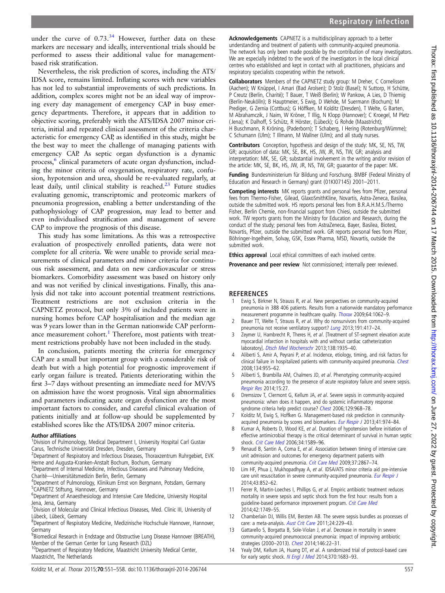<span id="page-6-0"></span>under the curve of  $0.73<sup>34</sup>$  $0.73<sup>34</sup>$  $0.73<sup>34</sup>$  However, further data on these markers are necessary and ideally, interventional trials should be performed to assess their additional value for managementbased risk stratification.

Nevertheless, the risk prediction of scores, including the ATS/ IDSA score, remains limited. Inflating scores with new variables has not led to substantial improvements of such predictions. In addition, complex scores might not be an ideal way of improving every day management of emergency CAP in busy emergency departments. Therefore, it appears that in addition to objective scoring, preferably with the ATS/IDSA 2007 minor criteria, initial and repeated clinical assessment of the criteria characteristic for emergency CAP, as identified in this study, might be the best way to meet the challenge of managing patients with emergency CAP. As septic organ dysfunction is a dynamic process,<sup>6</sup> clinical parameters of acute organ dysfunction, including the minor criteria of oxygenation, respiratory rate, confusion, hypotension and urea, should be re-evaluated regularly, at least daily, until clinical stability is reached. $23$  Future studies evaluating genomic, transcriptomic and proteomic markers of pneumonia progression, enabling a better understanding of the pathophysiology of CAP progression, may lead to better and even individualised stratification and management of severe CAP to improve the prognosis of this disease.

This study has some limitations. As this was a retrospective evaluation of prospectively enrolled patients, data were not complete for all criteria. We were unable to provide serial measurements of clinical parameters and minor criteria for continuous risk assessment, and data on new cardiovascular or stress biomarkers. Comorbidity assessment was based on history only and was not verified by clinical investigations. Finally, this analysis did not take into account potential treatment restrictions. Treatment restrictions are not exclusion criteria in the CAPNETZ protocol, but only 3% of included patients were in nursing homes before CAP hospitalisation and the median age was 9 years lower than in the German nationwide CAP performance measurement cohort.<sup>1</sup> Therefore, most patients with treatment restrictions probably have not been included in the study.

In conclusion, patients meeting the criteria for emergency CAP are a small but important group with a considerable risk of death but with a high potential for prognostic improvement if early organ failure is treated. Patients deteriorating within the first 3–7 days without presenting an immediate need for MV/VS on admission have the worst prognosis. Vital sign abnormalities and parameters indicating acute organ dysfunction are the most important factors to consider, and careful clinical evaluation of patients initially and at follow-up should be supplemented by established scores like the ATS/IDSA 2007 minor criteria.

#### Author affiliations <sup>1</sup>

<sup>1</sup> Division of Pulmonology, Medical Department I, University Hospital Carl Gustav Carus, Technische Universität Dresden, Dresden, Germany

- <sup>2</sup>Department of Respiratory and Infectious Diseases, Thoraxzentrum Ruhrgebiet, EVK Herne and Augusta-Kranken-Anstalt Bochum, Bochum, Germany
- <sup>3</sup>Department of Internal Medicine, Infectious Diseases and Pulmonary Medicine, Charité—Universitätsmedizin Berlin, Berlin, Germany <sup>4</sup>

<sup>4</sup>Department of Pulmonology, Klinikum Ernst von Bergmann, Potsdam, Germany 5 CAPNETZ Stiftung, Hannover, Germany

<sup>6</sup>Department of Anaesthesiology and Intensive Care Medicine, University Hospital

Jena, Jena, Germany 7 Division of Molecular and Clinical Infectious Diseases, Med. Clinic III, University of Lübeck, Lübeck, Germany

8 Department of Respiratory Medicine, Medizinische Hochschule Hannover, Hannover, Germany

<sup>9</sup>Biomedical Research in Endstage and Obstructive Lung Disease Hannover (BREATH), Member of the German Center for Lung Research (DZL)

<sup>10</sup>Department of Respiratory Medicine, Maastricht University Medical Center, Maastricht, The Netherlands

Acknowledgements CAPNETZ is a multidisciplinary approach to a better understanding and treatment of patients with community-acquired pneumonia. The network has only been made possible by the contribution of many investigators. We are especially indebted to the work of the investigators in the local clinical centres who established and kept in contact with all practitioners, physicians and respiratory specialists cooperating within the network.

Collaborators Members of the CAPNETZ study group: M Dreher, C Cornelissen (Aachen); W Knüppel, I Amari (Bad Arolsen); D Stolz (Basel); N Suttorp, H Schütte, P Creutz (Berlin, Charité); T Bauer, T Weiß (Berlin); W Pankow, A Lies, D Thiemig (Berlin-Neukölln); B Hauptmeier, S Ewig, D Wehde, M Suermann (Bochum); M Prediger, G Zernia (Cottbus); G Höffken, M Kolditz (Dresden), T Welte, G Barten, M Abrahamczik, J Naim, W Kröner, T Illig, N Klopp (Hannover); C Kroegel, M Pletz ( Jena); K Dalhoff, S Schütz, R Hörster, (Lübeck); G Rohde (Maastricht); H Buschmann, R Kröning, (Paderborn); T Schaberg, I Hering (Rotenburg/Wümme); C Schumann (Ulm); T Illmann, M Wallner (Ulm); and all study nurses.

Contributors Conception, hypothesis and design of the study: MK, SE, NS, TW, GR; acquisition of data: MK, SE, BK, HS, JW, JR, NS, TW, GR; analysis and interpretation: MK, SE, GR; substantial involvement in the writing and/or revision of the article: MK, SE, BK, HS, JW, JR, NS, TW, GR; guarantor of the paper: MK.

Funding Bundesministerium für Bildung und Forschung. BMBF (Federal Ministry of Education and Research in Germany) grant (01KI07145) 2001–2011.

Competing interests MK reports grants and personal fees from Pfizer, personal fees from Thermo-Fisher, Gilead, GlaxoSmithKline, Novartis, Astra-Zeneca, Basilea, outside the submitted work. HS reports personal fees from B.R.A.H.M.S./Thermo Fisher, Berlin Chemie, non-financial support from Chiesi, outside the submitted work. TW reports grants from the Ministry for Education and Research, during the conduct of the study; personal fees from AstraZeneca, Bayer, Basilea, Biotest, Novartis, Pfizer, outside the submitted work. GR reports personal fees from Pfizer, Böhringer-Ingelheim, Solvay, GSK, Essex Pharma, MSD, Novartis, outside the submitted work.

**Ethics approval** Local ethical committees of each involved centre.

Provenance and peer review Not commissioned; internally peer reviewed.

#### **REFERENCES**

- 1 Ewig S, Birkner N, Strauss R, et al. New perspectives on community-acquired pneumonia in 388 406 patients. Results from a nationwide mandatory performance measurement programme in healthcare quality. *[Thorax](http://dx.doi.org/10.1136/thx.2008.109785)* 2009;64:1062-9.
- 2 Bauer TT, Welte T, Strauss R, et al. Why do nonsurvivors from community-acquired pneumonia not receive ventilatory support? [Lung](http://dx.doi.org/10.1007/s00408-013-9467-3) 2013;191:417-24.
- 3 Zeymer U, Hambrecht R, Theres H, et al. [Treatment of ST-segment elevation acute myocardial infarction in hospitals with and without cardiac catheterization laboratory]. [Dtsch Med Wochenschr](http://dx.doi.org/10.1055/s-0033-1349561) 2013;138:1935–40.
- 4 Aliberti S, Amir A, Peyrani P, et al. Incidence, etiology, timing, and risk factors for clinical failure in hospitalized patients with community-acquired pneumonia. [Chest](http://dx.doi.org/10.1378/chest.08-0334) 2008;134:955–62.
- Aliberti S, Brambilla AM, Chalmers JD, et al. Phenotyping community-acquired pneumonia according to the presence of acute respiratory failure and severe sepsis. [Respir Res](http://dx.doi.org/10.1186/1465-9921-15-27) 2014;15:27.
- Dremsizov T, Clermont G, Kellum JA, et al. Severe sepsis in community-acquired pneumonia: when does it happen, and do systemic inflammatory response syndrome criteria help predict course? [Chest](http://dx.doi.org/10.1378/chest.129.4.968) 2006;129:968-78.
- 7 Kolditz M, Ewig S, Hoffken G. Management-based risk prediction in community-acquired pneumonia by scores and biomarkers. [Eur Respir J](http://dx.doi.org/10.1183/09031936.00104412) 2013;41:974-84.
- Kumar A, Roberts D, Wood KE, et al. Duration of hypotension before initiation of effective antimicrobial therapy is the critical determinant of survival in human septic shock. [Crit Care Med](http://dx.doi.org/10.1097/01.CCM.0000217961.75225.E9) 2006;34:1589–96.
- 9 Renaud B, Santin A, Coma E, et al. Association between timing of intensive care unit admission and outcomes for emergency department patients with community-acquired pneumonia. [Crit Care Med](http://dx.doi.org/10.1097/CCM.0b013e3181b02dbb) 2009;37:2867-74.
- 10 Lim HF, Phua J, Mukhopadhyay A, et al. IDSA/ATS minor criteria aid pre-intensive care unit resuscitation in severe community-acquired pneumonia. [Eur Respir J](http://dx.doi.org/10.1183/09031936.00081713) 2014;43:852–62.
- 11 Ferrer R, Martin-Loeches I, Phillips G, et al. Empiric antibiotic treatment reduces mortality in severe sepsis and septic shock from the first hour: results from a guideline-based performance improvement program. [Crit Care Med](http://dx.doi.org/10.1097/CCM.0000000000000330) 2014;42:1749–55.
- 12 Chamberlain DJ, Willis EM, Bersten AB. The severe sepsis bundles as processes of care: a meta-analysis. [Aust Crit Care](http://dx.doi.org/10.1016/j.aucc.2011.01.003) 2011;24:229-43.
- 13 Gattarello S, Borgatta B, Sole-Violan J, et al. Decrease in mortality in severe community-acquired pneumococcal pneumonia: impact of improving antibiotic strategies (2000–2013). [Chest](http://dx.doi.org/10.1378/chest.13-1531) 2014;146:22–31.
- 14 Yealy DM, Kellum JA, Huang DT, et al. A randomized trial of protocol-based care for early septic shock. [N Engl J Med](http://dx.doi.org/10.1056/NEJMoa1401602) 2014;370:1683-93.